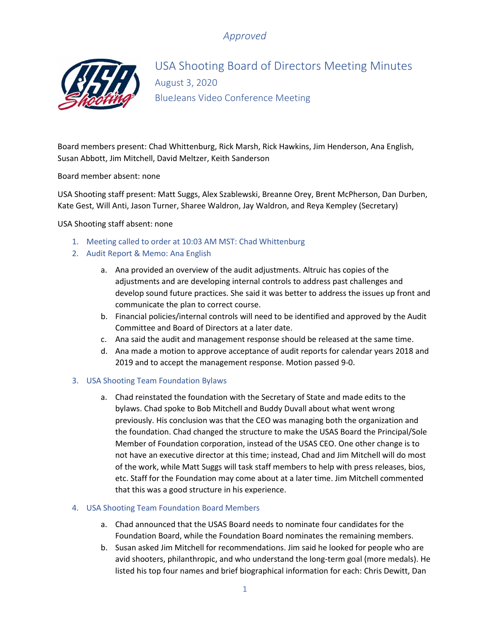# *Approved*



USA Shooting Board of Directors Meeting Minutes August 3, 2020 BlueJeans Video Conference Meeting

Board members present: Chad Whittenburg, Rick Marsh, Rick Hawkins, Jim Henderson, Ana English, Susan Abbott, Jim Mitchell, David Meltzer, Keith Sanderson

Board member absent: none

USA Shooting staff present: Matt Suggs, Alex Szablewski, Breanne Orey, Brent McPherson, Dan Durben, Kate Gest, Will Anti, Jason Turner, Sharee Waldron, Jay Waldron, and Reya Kempley (Secretary)

USA Shooting staff absent: none

- 1. Meeting called to order at 10:03 AM MST: Chad Whittenburg
- 2. Audit Report & Memo: Ana English
	- a. Ana provided an overview of the audit adjustments. Altruic has copies of the adjustments and are developing internal controls to address past challenges and develop sound future practices. She said it was better to address the issues up front and communicate the plan to correct course.
	- b. Financial policies/internal controls will need to be identified and approved by the Audit Committee and Board of Directors at a later date.
	- c. Ana said the audit and management response should be released at the same time.
	- d. Ana made a motion to approve acceptance of audit reports for calendar years 2018 and 2019 and to accept the management response. Motion passed 9-0.

### 3. USA Shooting Team Foundation Bylaws

a. Chad reinstated the foundation with the Secretary of State and made edits to the bylaws. Chad spoke to Bob Mitchell and Buddy Duvall about what went wrong previously. His conclusion was that the CEO was managing both the organization and the foundation. Chad changed the structure to make the USAS Board the Principal/Sole Member of Foundation corporation, instead of the USAS CEO. One other change is to not have an executive director at this time; instead, Chad and Jim Mitchell will do most of the work, while Matt Suggs will task staff members to help with press releases, bios, etc. Staff for the Foundation may come about at a later time. Jim Mitchell commented that this was a good structure in his experience.

#### 4. USA Shooting Team Foundation Board Members

- a. Chad announced that the USAS Board needs to nominate four candidates for the Foundation Board, while the Foundation Board nominates the remaining members.
- b. Susan asked Jim Mitchell for recommendations. Jim said he looked for people who are avid shooters, philanthropic, and who understand the long-term goal (more medals). He listed his top four names and brief biographical information for each: Chris Dewitt, Dan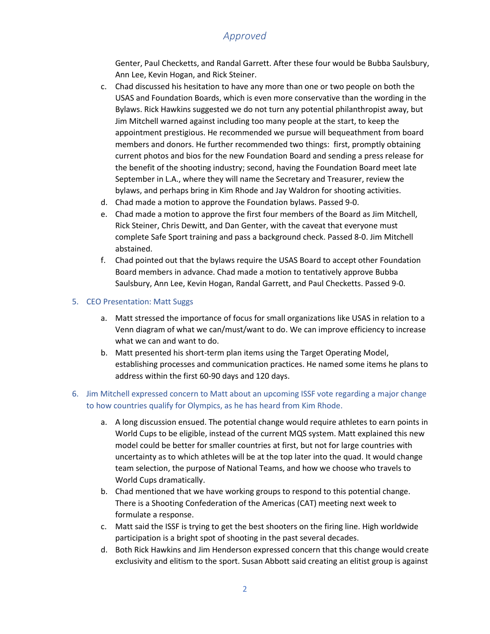## *Approved*

Genter, Paul Checketts, and Randal Garrett. After these four would be Bubba Saulsbury, Ann Lee, Kevin Hogan, and Rick Steiner.

- c. Chad discussed his hesitation to have any more than one or two people on both the USAS and Foundation Boards, which is even more conservative than the wording in the Bylaws. Rick Hawkins suggested we do not turn any potential philanthropist away, but Jim Mitchell warned against including too many people at the start, to keep the appointment prestigious. He recommended we pursue will bequeathment from board members and donors. He further recommended two things: first, promptly obtaining current photos and bios for the new Foundation Board and sending a press release for the benefit of the shooting industry; second, having the Foundation Board meet late September in L.A., where they will name the Secretary and Treasurer, review the bylaws, and perhaps bring in Kim Rhode and Jay Waldron for shooting activities.
- d. Chad made a motion to approve the Foundation bylaws. Passed 9-0.
- e. Chad made a motion to approve the first four members of the Board as Jim Mitchell, Rick Steiner, Chris Dewitt, and Dan Genter, with the caveat that everyone must complete Safe Sport training and pass a background check. Passed 8-0. Jim Mitchell abstained.
- f. Chad pointed out that the bylaws require the USAS Board to accept other Foundation Board members in advance. Chad made a motion to tentatively approve Bubba Saulsbury, Ann Lee, Kevin Hogan, Randal Garrett, and Paul Checketts. Passed 9-0.

#### 5. CEO Presentation: Matt Suggs

- a. Matt stressed the importance of focus for small organizations like USAS in relation to a Venn diagram of what we can/must/want to do. We can improve efficiency to increase what we can and want to do.
- b. Matt presented his short-term plan items using the Target Operating Model, establishing processes and communication practices. He named some items he plans to address within the first 60-90 days and 120 days.

### 6. Jim Mitchell expressed concern to Matt about an upcoming ISSF vote regarding a major change to how countries qualify for Olympics, as he has heard from Kim Rhode.

- a. A long discussion ensued. The potential change would require athletes to earn points in World Cups to be eligible, instead of the current MQS system. Matt explained this new model could be better for smaller countries at first, but not for large countries with uncertainty as to which athletes will be at the top later into the quad. It would change team selection, the purpose of National Teams, and how we choose who travels to World Cups dramatically.
- b. Chad mentioned that we have working groups to respond to this potential change. There is a Shooting Confederation of the Americas (CAT) meeting next week to formulate a response.
- c. Matt said the ISSF is trying to get the best shooters on the firing line. High worldwide participation is a bright spot of shooting in the past several decades.
- d. Both Rick Hawkins and Jim Henderson expressed concern that this change would create exclusivity and elitism to the sport. Susan Abbott said creating an elitist group is against